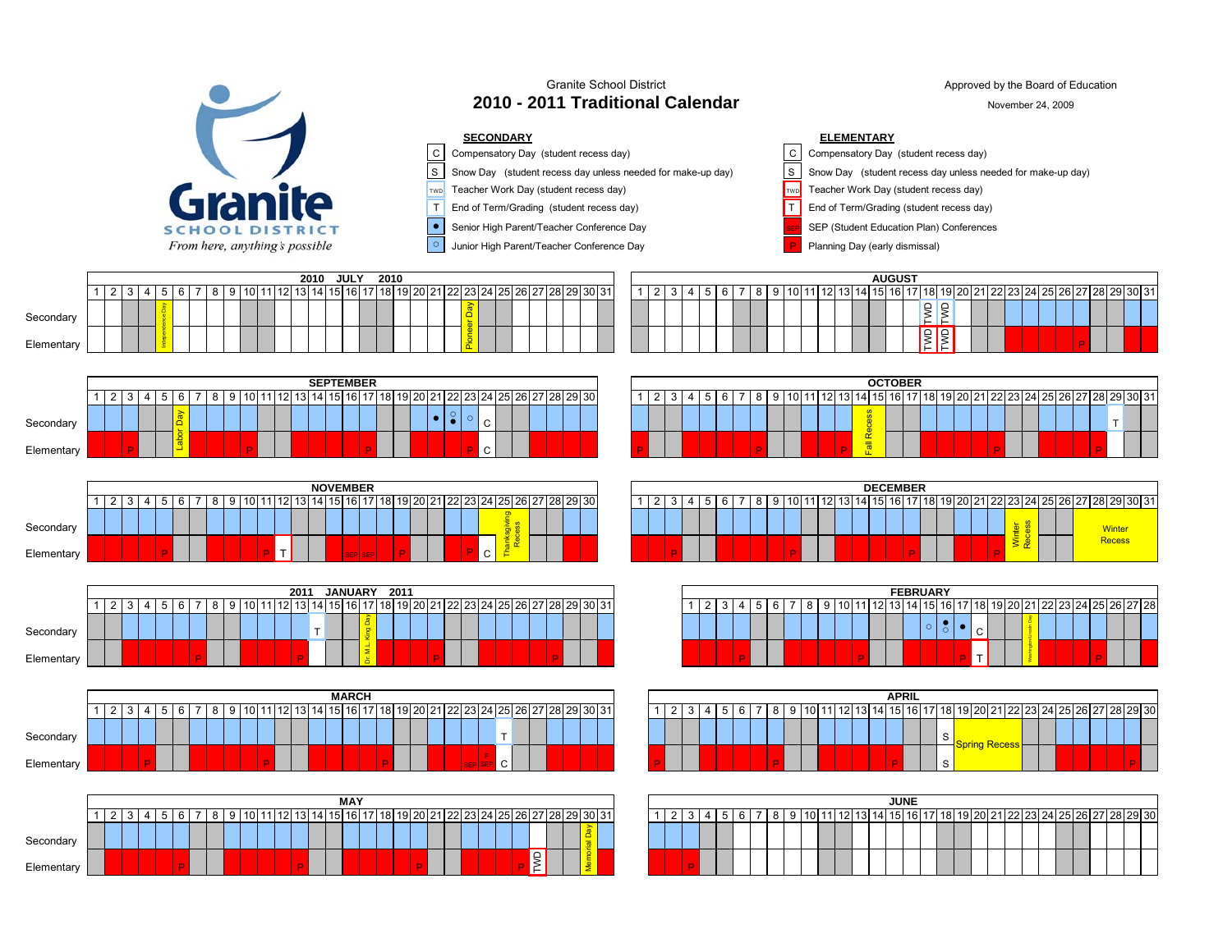